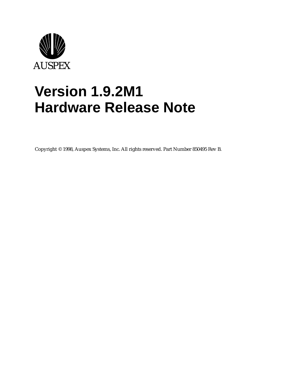

# **Version 1.9.2M1 Hardware Release Note**

Copyright © 1998, Auspex Systems, Inc. All rights reserved. Part Number 850495 Rev B.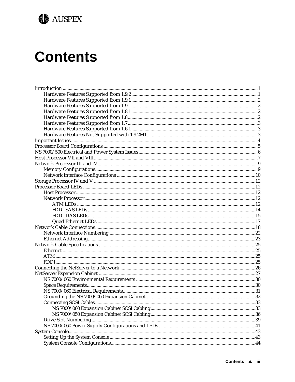

# **Contents**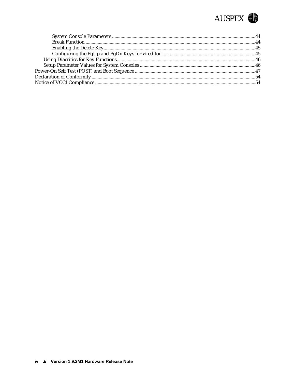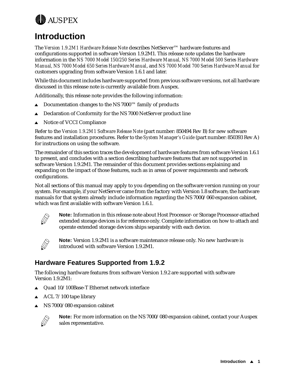<span id="page-4-0"></span>

# **Introduction**

The *Version 1.9.2M1 Hardware Release Note* describes NetServer™ hardware features and configurations supported in software Version 1.9.2M1. This release note updates the hardware information in the *NS 7000 Model 150/250 Series Hardware Manual, NS 7000 Model 500 Series Hardware Manual, NS 7000 Model 650 Series Hardware Manual*, and *NS 7000 Model 700 Series Hardware Manual* for customers upgrading from software Version 1.6.1 and later.

While this document includes hardware supported from previous software versions, not all hardware discussed in this release note is currently available from Auspex.

Additionally, this release note provides the following information:

- **△** Documentation changes to the NS 7000™ family of products
- **△** Declaration of Conformity for the NS 7000 NetServer product line
- $\triangle$  Notice of VCCI Compliance

Refer to the *Version 1.9.2M1 Software Release Note* (part number: 850494 Rev B) for new software features and installation procedures. Refer to the *System Manager's Guide* (part number: 850393 Rev A) for instructions on using the software.

The remainder of this section traces the development of hardware features from software Version 1.6.1 to present, and concludes with a section describing hardware features that are not supported in software Version 1.9.2M1. The remainder of this document provides sections explaining and expanding on the impact of those features, such as in areas of power requirements and network configurations.

Not all sections of this manual may apply to you depending on the software version running on your system. For example, if your NetServer came from the factory with Version 1.8 software, the hardware manuals for that system already include information regarding the NS 7000/060 expansion cabinet, which was first available with software Version 1.6.1.



**Note:** Information in this release note about Host Processor- or Storage Processor-attached extended storage devices is for reference only. Complete information on how to attach and operate extended storage devices ships separately with each device.



**Note:** Version 1.9.2M1 is a software maintenance release only. No new hardware is introduced with software Version 1.9.2M1.

### **Hardware Features Supported from 1.9.2**

The following hardware features from software Version 1.9.2 are supported with software Version 1.9.2M1:

- $\triangle$  Quad 10/100Base-T Ethernet network interface
- ACL 7/100 tape library
- NS 7000/080 expansion cabinet



**Note:** For more information on the NS 7000/080 expansion cabinet, contact your Auspex sales representative.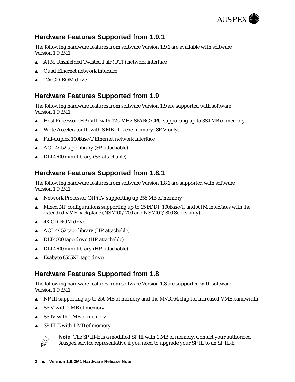

## <span id="page-5-0"></span>**Hardware Features Supported from 1.9.1**

The following hardware features from software Version 1.9.1 are available with software Version 1.9.2M1:

- **ATM Unshielded Twisted Pair (UTP) network interface**
- $\triangle$  Quad Ethernet network interface
- $\triangle$  12x CD-ROM drive

# **Hardware Features Supported from 1.9**

The following hardware features from software Version 1.9 are supported with software Version 1.9.2M1:

- $\blacktriangle$  Host Processor (HP) VIII with 125-MHz SPARC CPU supporting up to 384 MB of memory
- $\triangle$  Write Accelerator III with 8 MB of cache memory (SP V only)
- $\triangle$  Full-duplex 100Base-T Ethernet network interface
- $\triangle$  ACL 4/52 tape library (SP-attachable)
- $\triangle$  DLT4700 mini-library (SP-attachable)

### **Hardware Features Supported from 1.8.1**

The following hardware features from software Version 1.8.1 are supported with software Version 1.9.2M1:

- $\triangle$  Network Processor (NP) IV supporting up 256 MB of memory
- Mixed NP configurations supporting up to 15 FDDI, 100Base-T, and ATM interfaces with the extended VME backplane (NS 7000/700 and NS 7000/800 Series only)
- $\triangle$  4X CD-ROM drive
- $\triangle$  ACL 4/52 tape library (HP-attachable)
- $\triangle$  DLT4000 tape drive (HP-attachable)
- $\triangle$  DLT4700 mini-library (HP-attachable)
- Exabyte 8505XL tape drive

### **Hardware Features Supported from 1.8**

The following hardware features from software Version 1.8 are supported with software Version 1.9.2M1:

- **Solution** NP III supporting up to 256 MB of memory and the MVIC64 chip for increased VME bandwidth
- $\triangle$  SP V with 2 MB of memory
- $\triangle$  SP IV with 1 MB of memory
- $\triangle$  SP III-E with 1 MB of memory



**Note:** The SP III-E is a modified SP III with 1 MB of memory. Contact your authorized Auspex service representative if you need to upgrade your SP III to an SP III-E.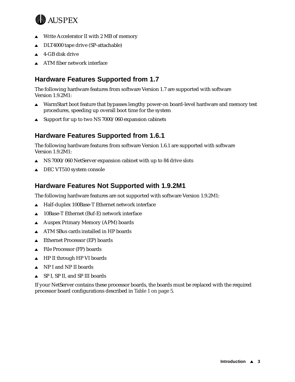<span id="page-6-0"></span>

- Write Accelerator II with 2 MB of memory
- $\triangle$  DLT4000 tape drive (SP-attachable)
- $\triangle$  4-GB disk drive
- $\triangle$  ATM fiber network interface

# **Hardware Features Supported from 1.7**

The following hardware features from software Version 1.7 are supported with software Version 1.9.2M1:

- $\blacktriangle$  WarmStart boot feature that bypasses lengthy power-on board-level hardware and memory test procedures, speeding up overall boot time for the system
- $\triangle$  Support for up to two NS 7000/060 expansion cabinets

# **Hardware Features Supported from 1.6.1**

The following hardware features from software Version 1.6.1 are supported with software Version 1.9.2M1:

- $\triangle$  NS 7000/060 NetServer expansion cabinet with up to 84 drive slots
- DEC VT510 system console

### **Hardware Features Not Supported with 1.9.2M1**

The following hardware features are not supported with software Version 1.9.2M1:

- $\triangle$  Half-duplex 100Base-T Ethernet network interface
- $\triangle$  10Base-T Ethernet (Buf-E) network interface
- A Auspex Primary Memory (APM) boards
- $\triangle$  ATM SBus cards installed in HP boards
- Ethernet Processor (EP) boards
- $\triangle$  File Processor (FP) boards
- $\triangle$  HP II through HP VI boards
- $\triangle$  NP I and NP II boards
- SP I, SP II, and SP III boards

If your NetServer contains these processor boards, the boards must be replaced with the required processor board configurations descri[bed in Table 1 on](#page-8-0) page 5.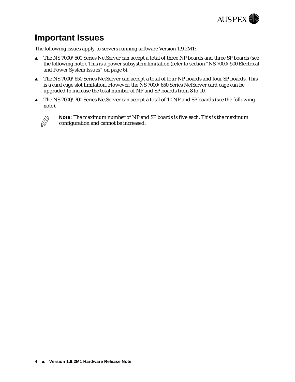

# <span id="page-7-0"></span>**Important Issues**

The following issues apply to servers running software Version 1.9.2M1:

- ▲ The NS 7000/500 Series NetServer can accept a total of three NP boards and three SP boards (see the following note). This is a power subsystem limitation (refer to [section "NS 7000/500 Electrical](#page-9-0)  [and Power System Issues" on pa](#page-9-0)ge 6).
- $\triangle$  The NS 7000/650 Series NetServer can accept a total of four NP boards and four SP boards. This is a card cage slot limitation. However, the NS 7000/650 Series NetServer card cage can be upgraded to increase the total number of NP and SP boards from 8 to 10.
- $\triangle$  The NS 7000/700 Series NetServer can accept a total of 10 NP and SP boards (see the following note).



**Note:** The maximum number of NP and SP boards is five each. This is the maximum configuration and cannot be increased.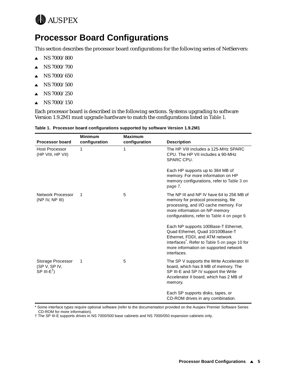<span id="page-8-0"></span>

# **Processor Board Configurations**

This section describes the processor board configurations for the following series of NetServers:

- $\triangle$  NS 7000/800
- $\triangle$  NS 7000/700
- $\triangle$  NS 7000/650
- $\blacktriangle$  NS 7000/500
- $\triangle$  NS 7000/250
- $\triangle$  NS 7000/150

Each processor board is described in the following sections. Systems upgrading to software Version 1.9.2M1 must upgrade hardware to match the configurations listed in Table 1.

| <b>Processor board</b>                          | <b>Minimum</b><br>configuration | <b>Maximum</b><br>configuration | <b>Description</b>                                                                                                                                                                                                 |
|-------------------------------------------------|---------------------------------|---------------------------------|--------------------------------------------------------------------------------------------------------------------------------------------------------------------------------------------------------------------|
| <b>Host Processor</b><br>(HP VIII, HP VII)      | 1                               | 1                               | The HP VIII includes a 125-MHz SPARC<br>CPU. The HP VII includes a 90-MHz<br>SPARC CPU.                                                                                                                            |
|                                                 |                                 |                                 | Each HP supports up to 384 MB of<br>memory. For more information on HP<br>memory configurations, refer to Table 3 on<br>page 7.                                                                                    |
| Network Processor<br>(NP IV, NP III)            | 1                               | 5                               | The NP III and NP IV have 64 to 256 MB of<br>memory for protocol processing, file<br>processing, and I/O cache memory. For<br>more information on NP memory<br>configurations, refer to Table 4 on page 9.         |
|                                                 |                                 |                                 | Each NP supports 100Base-T Ethernet,<br>Quad Ethernet, Quad 10/100Base-T<br>Ethernet, FDDI, and ATM network<br>interfaces. Refer to Table 5 on page 10 for<br>more information on supported network<br>interfaces. |
| Storage Processor<br>(SPV, SPIV,<br>$SP III-E†$ | 1                               | 5                               | The SP V supports the Write Accelerator III<br>board, which has 8 MB of memory. The<br>SP III-E and SP IV support the Write<br>Accelerator II board, which has 2 MB of<br>memory.                                  |
|                                                 |                                 |                                 | Each SP supports disks, tapes, or<br>CD-ROM drives in any combination.                                                                                                                                             |

\* Some interface types require optional software (refer to the documentation provided on the Auspex Premier Software Series CD-ROM for more information).

† The SP III-E supports drives in NS 7000/500 base cabinets and NS 7000/050 expansion cabinets only.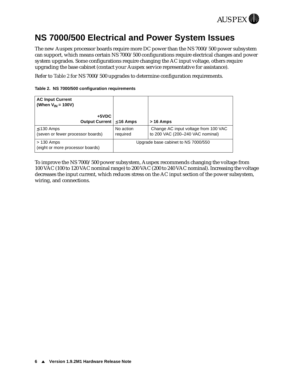

# <span id="page-9-0"></span>**NS 7000/500 Electrical and Power System Issues**

The new Auspex processor boards require more DC power than the NS 7000/500 power subsystem can support, which means certain NS 7000/500 configurations require electrical changes and power system upgrades. Some configurations require changing the AC input voltage, others require upgrading the base cabinet (contact your Auspex service representative for assistance).

Refer to Table 2 for NS 7000/500 upgrades to determine configuration requirements.

|  |  |  | Table 2. NS 7000/500 configuration requirements |
|--|--|--|-------------------------------------------------|
|--|--|--|-------------------------------------------------|

| <b>AC Input Current</b><br>(When $V_{IN}$ = 100V)    |                                     |                                                                          |
|------------------------------------------------------|-------------------------------------|--------------------------------------------------------------------------|
| +5VDC<br>Output Current $\leq 16$ Amps               |                                     | $>16$ Amps                                                               |
| $\leq$ 130 Amps<br>(seven or fewer processor boards) | No action<br>required               | Change AC input voltage from 100 VAC<br>to 200 VAC (200-240 VAC nominal) |
| $>130$ Amps<br>(eight or more processor boards)      | Upgrade base cabinet to NS 7000/550 |                                                                          |

To improve the NS 7000/500 power subsystem, Auspex recommends changing the voltage from 100 VAC (100 to 120 VAC nominal range) to 200 VAC (200 to 240 VAC nominal). Increasing the voltage decreases the input current, which reduces stress on the AC input section of the power subsystem, wiring, and connections.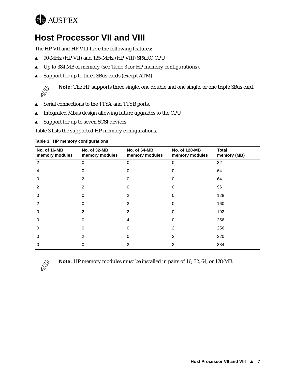<span id="page-10-0"></span>

# **Host Processor VII and VIII**

The HP VII and HP VIII have the following features:

- ▲ 90-MHz (HP VII) and 125-MHz (HP VIII) SPARC CPU
- $\triangle$  Up to 384 MB of memory (see Table 3 for HP memory configurations).
- $\triangle$  Support for up to three SBus cards (except ATM)



**Note:** The HP supports three single, one double and one single, or one triple SBus card.

- ▲ Serial connections to the TTYA and TTYB ports.
- <sup>s</sup> Integrated Mbus design allowing future upgrades to the CPU
- $\triangle$  Support for up to seven SCSI devices

Table 3 lists the supported HP memory configurations.

| <b>No. of 16-MB</b><br>memory modules | <b>No. of 32-MB</b><br>memory modules | No. of 64-MB<br>memory modules | No. of 128-MB<br>memory modules | <b>Total</b><br>memory (MB) |
|---------------------------------------|---------------------------------------|--------------------------------|---------------------------------|-----------------------------|
| 2                                     | 0                                     | $\Omega$                       | 0                               | 32                          |
| 4                                     | Ω                                     |                                | 0                               | 64                          |
| $\Omega$                              | 2                                     |                                | 0                               | 64                          |
| 2                                     | 2                                     |                                | 0                               | 96                          |
| $\Omega$                              | ი                                     | 2                              | 0                               | 128                         |
| 2                                     | ი                                     | 2                              | 0                               | 160                         |
| 0                                     | 2                                     | 2                              | 0                               | 192                         |
| 0                                     | ი                                     | 4                              | 0                               | 256                         |
| 0                                     | 0                                     | <sup>0</sup>                   | 2                               | 256                         |
| 0                                     | 2                                     | <sup>0</sup>                   | 2                               | 320                         |
| 0                                     |                                       |                                |                                 | 384                         |

#### **Table 3. HP memory configurations**



**Note:** HP memory modules must be installed in pairs of 16, 32, 64, or 128-MB.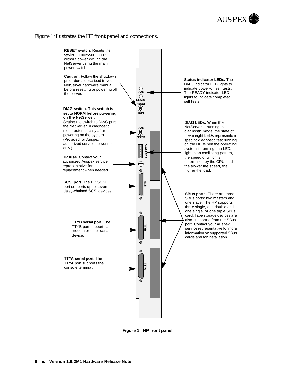#### <span id="page-11-0"></span>Figure 1 illustrates the HP front panel and connections.



**Figure 1. HP front panel**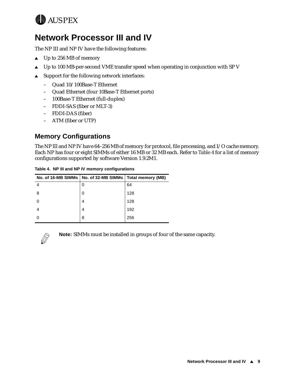<span id="page-12-0"></span>

# **Network Processor III and IV**

The NP III and NP IV have the following features:

- $\triangle$  Up to 256 MB of memory
- $\triangle$  Up to 100 MB-per-second VME transfer speed when operating in conjunction with SP V
- $\triangle$  Support for the following network interfaces:
	- Quad 10/100Base-T Ethernet
	- Quad Ethernet (four 10Base-T Ethernet ports)
	- 100Base-T Ethernet (full-duplex)
	- FDDI-SAS (fiber or MLT-3)
	- FDDI-DAS (fiber)
	- ATM (fiber or UTP)

### **Memory Configurations**

The NP III and NP IV have 64–256 MB of memory for protocol, file processing, and I/O cache memory. Each NP has four or eight SIMMs of either 16 MB or 32 MB each. Refer to Table 4 for a list of memory configurations supported by software Version 1.9.2M1.

|   | No. of 16-MB SIMMs   No. of 32-MB SIMMs   Total memory (MB) |     |
|---|-------------------------------------------------------------|-----|
|   | 0                                                           | 64  |
| 8 | 0                                                           | 128 |
|   | 4                                                           | 128 |
|   | 4                                                           | 192 |
|   | 8                                                           | 256 |

**Table 4. NP III and NP IV memory configurations**



**Note:** SIMMs must be installed in groups of four of the same capacity.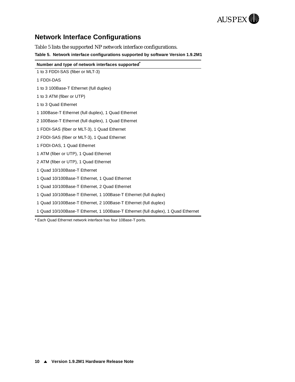

## <span id="page-13-0"></span>**Network Interface Configurations**

Table 5 lists the supported NP network interface configurations.

**Table 5. Network interface configurations supported by software Version 1.9.2M1**

| Number and type of network interfaces supported                                   |
|-----------------------------------------------------------------------------------|
| 1 to 3 FDDI-SAS (fiber or MLT-3)                                                  |
| 1 FDDI-DAS                                                                        |
| 1 to 3 100Base-T Ethernet (full duplex)                                           |
| 1 to 3 ATM (fiber or UTP)                                                         |
| 1 to 3 Quad Ethernet                                                              |
| 1 100Base-T Ethernet (full duplex), 1 Quad Ethernet                               |
| 2 100Base-T Ethernet (full duplex), 1 Quad Ethernet                               |
| 1 FDDI-SAS (fiber or MLT-3), 1 Quad Ethernet                                      |
| 2 FDDI-SAS (fiber or MLT-3), 1 Quad Ethernet                                      |
| 1 FDDI-DAS, 1 Quad Ethernet                                                       |
| 1 ATM (fiber or UTP), 1 Quad Ethernet                                             |
| 2 ATM (fiber or UTP), 1 Quad Ethernet                                             |
| 1 Quad 10/100Base-T Ethernet                                                      |
| 1 Quad 10/100Base-T Ethernet, 1 Quad Ethernet                                     |
| 1 Quad 10/100Base-T Ethernet, 2 Quad Ethernet                                     |
| 1 Quad 10/100Base-T Ethernet, 1 100Base-T Ethernet (full duplex)                  |
| 1 Quad 10/100Base-T Ethernet, 2 100Base-T Ethernet (full duplex)                  |
| 1 Quad 10/100Base-T Ethernet, 1 100Base-T Ethernet (full duplex), 1 Quad Ethernet |

\* Each Quad Ethernet network interface has four 10Base-T ports.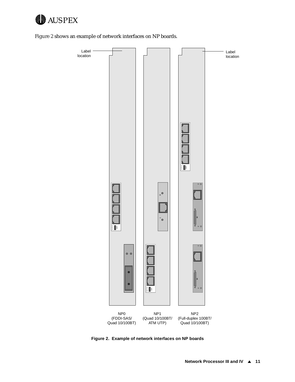

Figure 2 shows an example of network interfaces on NP boards.



**Figure 2. Example of network interfaces on NP boards**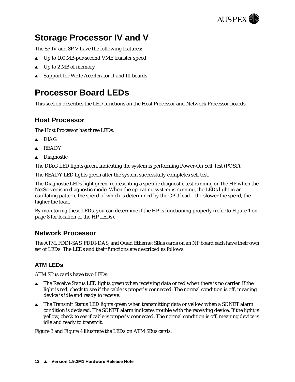

# <span id="page-15-0"></span>**Storage Processor IV and V**

The SP IV and SP V have the following features:

- ▲ Up to 100 MB-per-second VME transfer speed
- $\triangle$  Up to 2 MB of memory
- ▲ Support for Write Accelerator II and III boards

# **Processor Board LEDs**

This section describes the LED functions on the Host Processor and Network Processor boards.

### **Host Processor**

The Host Processor has three LEDs:

- $\triangle$  DIAG
- $\triangle$  READY
- $\triangle$  Diagnostic

The DIAG LED lights green, indicating the system is performing Power-On Self Test (POST).

The READY LED lights green after the system successfully completes self test.

The Diagnostic LEDs light green, representing a specific diagnostic test running on the HP when the NetServer is in diagnostic mode. When the operating system is running, the LEDs light in an oscillating pattern, the speed of which is determined by the CPU load—the slower the speed, the higher the load.

By monitoring these LEDs, you can determine if the HP is functioning proper[ly \(refer to Figure 1 on](#page-11-0)  [page 8](#page-11-0) for location of the HP LEDs).

### **Network Processor**

The ATM, FDDI-SAS, FDDI-DAS, and Quad Ethernet SBus cards on an NP board each have their own set of LEDs. The LEDs and their functions are described as follows.

#### **ATM LEDs**

ATM SBus cards have two LEDs:

- $\triangle$  The Receive Status LED lights green when receiving data or red when there is no carrier. If the light is red, check to see if the cable is properly connected. The normal condition is off, meaning device is idle and ready to receive.
- The Transmit Status LED lights green when transmitting data or yellow when a SONET alarm condition is declared. The SONET alarm indicates trouble with the receiving device. If the light is yellow, check to see if cable is properly connected. The normal condition is off, meaning device is idle and ready to transmit.

[Figure 3](#page-16-0) an[d Figure](#page-16-0) 4 illustrate the LEDs on ATM SBus cards.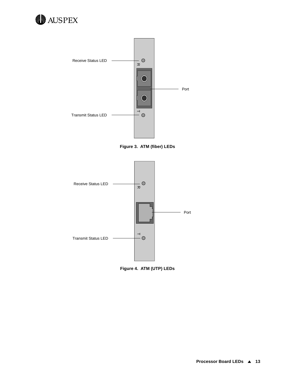<span id="page-16-0"></span>



**Figure 3. ATM (fiber) LEDs**



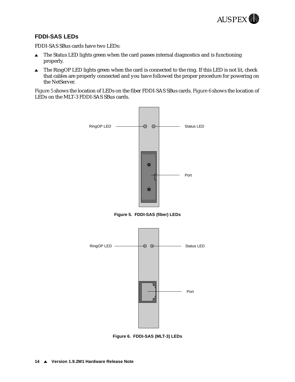

#### <span id="page-17-0"></span>**FDDI-SAS LEDs**

FDDI-SAS SBus cards have two LEDs:

- $\blacktriangle$  The Status LED lights green when the card passes internal diagnostics and is functioning properly.
- $\triangle$  The RingOP LED lights green when the card is connected to the ring. If this LED is not lit, check that cables are properly connected and you have followed the proper procedure for powering on the NetServer.

Figure 5 shows the location of LEDs on the fiber FDDI-SAS SBus cards. Figure 6 shows the location of LEDs on the MLT-3 FDDI-SAS SBus cards.



**Figure 5. FDDI-SAS (fiber) LEDs**



**Figure 6. FDDI-SAS (MLT-3) LEDs**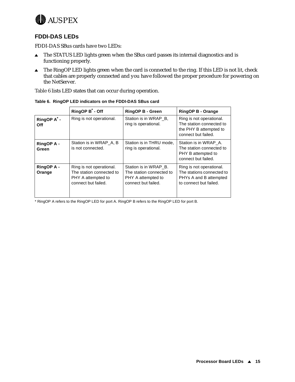<span id="page-18-0"></span>

#### **FDDI-DAS LEDs**

FDDI-DAS SBus cards have two LEDs:

- The STATUS LED lights green when the SBus card passes its internal diagnostics and is functioning properly.
- $\triangle$  The RingOP LED lights green when the card is connected to the ring. If this LED is not lit, check that cables are properly connected and you have followed the proper procedure for powering on the NetServer.

Table 6 lists LED states that can occur during operation.

|                                | RingOP B - Off                                                                                    | <b>RingOP B - Green</b>                                                                        | <b>RingOP B - Orange</b>                                                                                  |
|--------------------------------|---------------------------------------------------------------------------------------------------|------------------------------------------------------------------------------------------------|-----------------------------------------------------------------------------------------------------------|
| RingOP A <sup>*</sup> -<br>Off | Ring is not operational.                                                                          | Station is in WRAP B,<br>ring is operational.                                                  | Ring is not operational.<br>The station connected to<br>the PHY B attempted to<br>connect but failed.     |
| <b>RingOP A -</b><br>Green     | Station is in WRAP A, B<br>is not connected.                                                      | Station is in THRU mode,<br>ring is operational.                                               | Station is in WRAP A.<br>The station connected to<br>PHY B attempted to<br>connect but failed.            |
| <b>RingOP A -</b><br>Orange    | Ring is not operational.<br>The station connected to<br>PHY A attempted to<br>connect but failed. | Station is in WRAP B.<br>The station connected to<br>PHY A attempted to<br>connect but failed. | Ring is not operational.<br>The stations connected to<br>PHYs A and B attempted<br>to connect but failed. |

**Table 6. RingOP LED indicators on the FDDI-DAS SBus card**

\* RingOP A refers to the RingOP LED for port A. RingOP B refers to the RingOP LED for port B.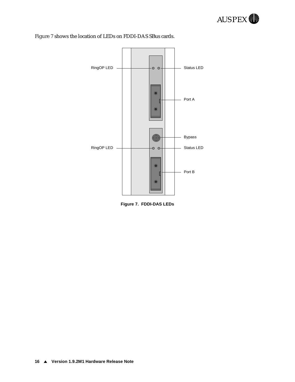



#### Figure 7 shows the location of LEDs on FDDI-DAS SBus cards.

**Figure 7. FDDI-DAS LEDs**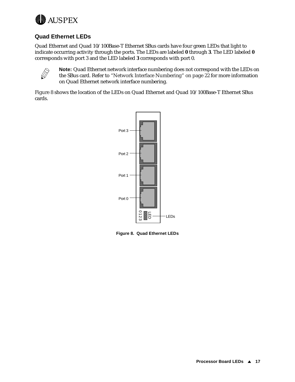<span id="page-20-0"></span>

#### **Quad Ethernet LEDs**

Quad Ethernet and Quad 10/100Base-T Ethernet SBus cards have four green LEDs that light to indicate occurring activity through the ports. The LEDs are labeled **0** through **3**. The LED labeled **0** corresponds with port 3 and the LED labeled **3** corresponds with port 0.



**Note:** Quad Ethernet network interface numbering does not correspond with the LEDs on the SBus card. Refer [to "Network Interface Numbering" on](#page-25-0) page 22 for more information on Quad Ethernet network interface numbering.

Figure 8 shows the location of the LEDs on Quad Ethernet and Quad 10/100Base-T Ethernet SBus cards.

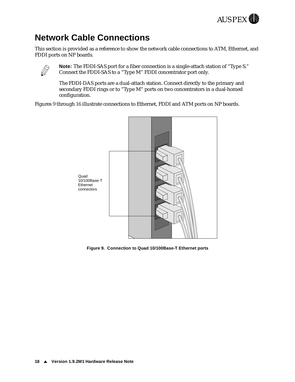

# <span id="page-21-0"></span>**Network Cable Connections**

This section is provided as a reference to show the network cable connections to ATM, Ethernet, and FDDI ports on NP boards.



**Note:** The FDDI-SAS port for a fiber connection is a single-attach station of "Type S." Connect the FDDI-SAS to a "Type M" FDDI concentrator port only.

The FDDI-DAS ports are a dual-attach station. Connect directly to the primary and secondary FDDI rings or to "Type M" ports on two concentrators in a dual-homed configuration.

Figures 9 throu[gh 1](#page-27-0)6 illustrate connections to Ethernet, FDDI and ATM ports on NP boards.



**Figure 9. Connection to Quad 10/100Base-T Ethernet ports**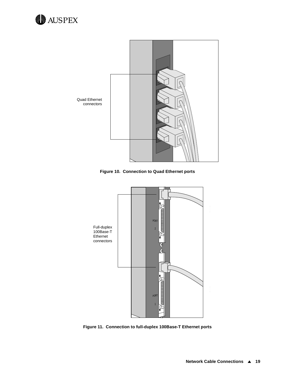



**Figure 10. Connection to Quad Ethernet ports**



**Figure 11. Connection to full-duplex 100Base-T Ethernet ports**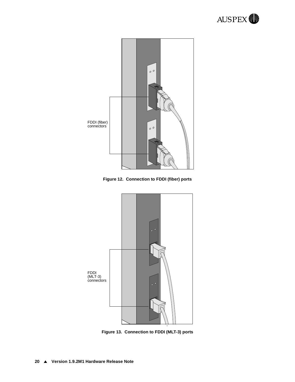

**Figure 12. Connection to FDDI (fiber) ports**



**Figure 13. Connection to FDDI (MLT-3) ports**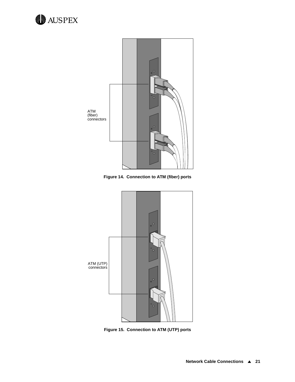



**Figure 14. Connection to ATM (fiber) ports**



**Figure 15. Connection to ATM (UTP) ports**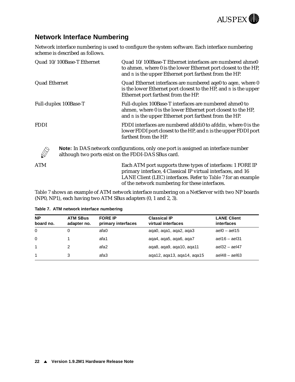

### <span id="page-25-0"></span>**Network Interface Numbering**

Network interface numbering is used to configure the system software. Each interface numbering scheme is described as follows.

| Quad 10/100Base-T Ethernet | Quad 10/100Base-T Ethernet interfaces are numbered ahme0<br>to ahmen, where 0 is the lower Ethernet port closest to the HP,<br>and <i>n</i> is the upper Ethernet port farthest from the HP. |
|----------------------------|----------------------------------------------------------------------------------------------------------------------------------------------------------------------------------------------|
| Quad Ethernet              | Quad Ethernet interfaces are numbered aqe0 to aqen, where 0<br>is the lower Ethernet port closest to the HP, and n is the upper<br>Ethernet port farthest from the HP.                       |
| Full-duplex 100Base-T      | Full-duplex 100Base-T interfaces are numbered ahme0 to<br>ahmen, where 0 is the lower Ethernet port closest to the HP,<br>and <i>n</i> is the upper Ethernet port farthest from the HP.      |
| <b>FDDI</b>                | FDDI interfaces are numbered afddi0 to afddin, where 0 is the<br>lower FDDI port closest to the HP, and n is the upper FDDI port<br>farthest from the HP.                                    |
|                            | <b>Note:</b> In DAS network configurations, only one port is assigned an interface number<br>although two ports exist on the FDDI-DAS SBus card.                                             |
| <b>ATM</b>                 | Each ATM port supports three types of interfaces: 1 FORE IP<br>primary interface, 4 Classical IP virtual interfaces, and 16<br>LANE Client (LEC) interfaces. Refer to Table 7 for an example |

Table 7 shows an example of ATM network interface numbering on a NetServer with two NP boards (NP0, NP1), each having two ATM SBus adapters (0, 1 and 2, 3).

of the network numbering for these interfaces.

| <b>NP</b><br>board no. | <b>ATM SBus</b><br>adapter no. | <b>FORE IP</b><br>primary interfaces | <b>Classical IP</b><br>virtual interfaces | <b>LANE Client</b><br><i>interfaces</i> |
|------------------------|--------------------------------|--------------------------------------|-------------------------------------------|-----------------------------------------|
| $\Omega$               |                                | afa0                                 | aqa0, aqa1, aqa2, aqa3                    | ael $0 - a$ el $15$                     |
| $\Omega$               |                                | afa1                                 | aga4, aga5, aga6, aga7                    | ael $16 -$ ael $31$                     |
| $\overline{1}$         |                                | afa2                                 | aga8, aga9, aga10, aga11                  | ael $32 -$ ael $47$                     |
| $\overline{1}$         | 3                              | afa3                                 | aga12, aga13, aga14, aga15                | $ael48 - ael63$                         |

#### **Table 7. ATM network interface numbering**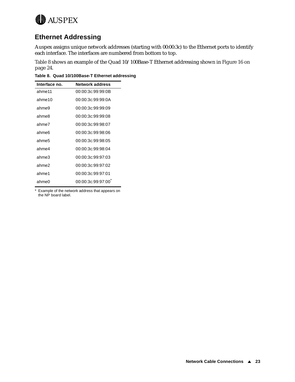<span id="page-26-0"></span>

# **Ethernet Addressing**

Auspex assigns unique network addresses (starting with 00:00:3c) to the Ethernet ports to identify each interface. The interfaces are numbered from bottom to top.

Table 8 shows an example of the Quad 10/100Base-T Ethernet addressing [shown in Figure 16 on](#page-27-0)  [page 24](#page-27-0).

**Table 8. Quad 10/100Base-T Ethernet addressing**

| Interface no. | <b>Network address</b> |
|---------------|------------------------|
| ahme11        | 00:00:3c:99:99:0B      |
| ahme10        | 00:00:3c:99:99:0A      |
| ahme9         | 00:00:3c:99:99:09      |
| ahme8         | 00:00:3c:99:99:08      |
| ahme7         | 00:00:3c:99:98:07      |
| ahme6         | 00:00:3c:99:98:06      |
| ahme5         | 00:00:3c:99:98:05      |
| ahme4         | 00:00:3c:99:98:04      |
| ahme3         | 00:00:3c:99:97:03      |
| ahme2         | 00:00:3c:99:97:02      |
| ahme1         | 00:00:3c:99:97:01      |
| ahme0         | 00:00:3c:99:97:00      |

\* Example of the network address that appears on the NP board label.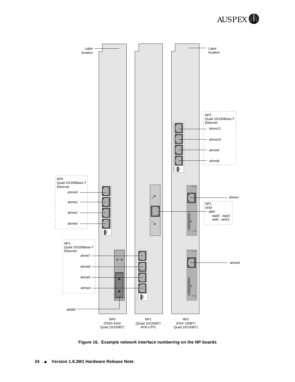

<span id="page-27-0"></span>

**Figure 16. Example network interface numbering on the NP boards**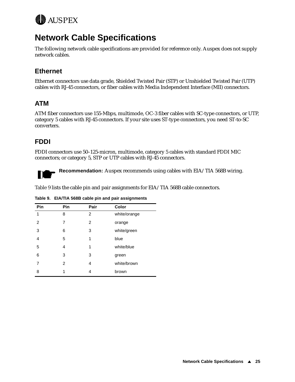<span id="page-28-0"></span>

# **Network Cable Specifications**

The following network cable specifications are provided for reference only. Auspex does not supply network cables.

# **Ethernet**

Ethernet connectors use data grade, Shielded Twisted Pair (STP) or Unshielded Twisted Pair (UTP) cables with RJ-45 connectors, or fiber cables with Media Independent Interface (MII) connectors.

# **ATM**

ATM fiber connectors use 155-Mbps, multimode, OC-3 fiber cables with SC-type connectors, or UTP, category 5 cables with RJ-45 connectors. If your site uses ST-type connectors, you need ST-to-SC converters.

### **FDDI**

FDDI connectors use 50–125-micron, multimode, category 5 cables with standard FDDI MIC connectors; or category 5, STP or UTP cables with RJ-45 connectors.



**Recommendation:** Auspex recommends using cables with EIA/TIA 568B wiring.

Table 9 lists the cable pin and pair assignments for EIA/TIA 568B cable connectors.

| Pin | Pin | Pair | Color        |
|-----|-----|------|--------------|
| 1   | 8   | 2    | white/orange |
| 2   | 7   | 2    | orange       |
| 3   | 6   | 3    | white/green  |
| 4   | 5   | 1    | blue         |
| 5   | 4   | 1    | white/blue   |
| 6   | 3   | 3    | green        |
| 7   | 2   | 4    | white/brown  |
| 8   | 1   | 4    | brown        |

**Table 9. EIA/TIA 568B cable pin and pair assignments**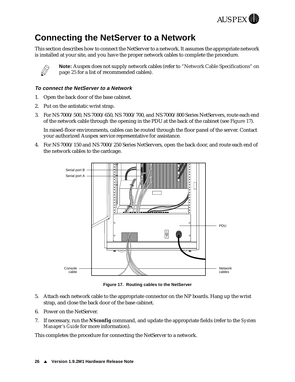

# <span id="page-29-0"></span>**Connecting the NetServer to a Network**

This section describes how to connect the NetServer to a network. It assumes the appropriate network is installed at your site, and you have the proper network cables to complete the procedure.



**Note:** Auspex does not supply network cables (r[efer to "Network Cable Specifications" on](#page-28-0)  [page 25](#page-28-0) for a list of recommended cables).

#### **To connect the NetServer to a Network**

- 1. Open the back door of the base cabinet.
- 2. Put on the antistatic wrist strap.
- 3. For NS 7000/500, NS 7000/650, NS 7000/700, and NS 7000/800 Series NetServers, route each end of the network cable through the opening in the PDU at the back of the cabinet (see Figure 17).

In raised-floor environments, cables can be routed through the floor panel of the server. Contact your authorized Auspex service representative for assistance.

4. For NS 7000/150 and NS 7000/250 Series NetServers, open the back door, and route each end of the network cables to the cardcage.



**Figure 17. Routing cables to the NetServer** 

- 5. Attach each network cable to the appropriate connector on the NP boards. Hang up the wrist strap, and close the back door of the base cabinet.
- 6. Power on the NetServer.
- 7. If necessary, run the **NSconfig** command, and update the appropriate fields (refer to the *System Manager's Guide* for more information).

This completes the procedure for connecting the NetServer to a network.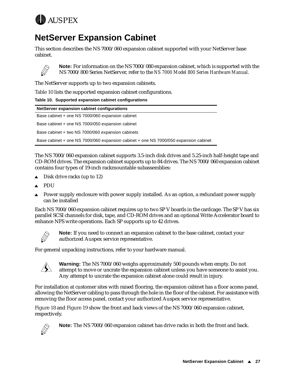<span id="page-30-0"></span>

# **NetServer Expansion Cabinet**

This section describes the NS 7000/060 expansion cabinet supported with your NetServer base cabinet.



**Note:** For information on the NS 7000/080 expansion cabinet, which is supported with the NS 7000/800 Series NetServer, refer to the *NS 7000 Model 800 Series Hardware Manual*.

The NetServer supports up to two expansion cabinets.

Table 10 lists the supported expansion cabinet configurations.

|  |  |  |  | Table 10. Supported expansion cabinet configurations |
|--|--|--|--|------------------------------------------------------|
|--|--|--|--|------------------------------------------------------|

| NetServer expansion cabinet configurations                                           |
|--------------------------------------------------------------------------------------|
| Base cabinet + one NS 7000/060 expansion cabinet                                     |
| Base cabinet + one NS 7000/050 expansion cabinet                                     |
| Base cabinet + two NS 7000/060 expansion cabinets                                    |
| Base cabinet + one NS 7000/060 expansion cabinet + one NS 7000/050 expansion cabinet |
|                                                                                      |

The NS 7000/060 expansion cabinet supports 3.5-inch disk drives and 5.25-inch half-height tape and CD-ROM drives. The expansion cabinet supports up to 84 drives. The NS 7000/060 expansion cabinet contains four types of 19-inch rackmountable subassemblies:

- Disk drive racks (up to 12)
- <sup>s</sup> PDU
- Power supply enclosure with power supply installed. As an option, a redundant power supply can be installed

Each NS 7000/060 expansion cabinet requires up to two SP V boards in the cardcage. The SP V has six parallel SCSI channels for disk, tape, and CD-ROM drives and an optional Write Accelerator board to enhance NFS write operations. Each SP supports up to 42 drives.



**Note:** If you need to connect an expansion cabinet to the base cabinet, contact your authorized Auspex service representative.

For general unpacking instructions, refer to your hardware manual.



**Warning:** The NS 7000/060 weighs approximately 500 pounds when empty. Do not attempt to move or uncrate the expansion cabinet unless you have someone to assist you. Any attempt to uncrate the expansion cabinet alone could result in injury.

For installation at customer sites with raised flooring, the expansion cabinet has a floor access panel, allowing the NetServer cabling to pass through the hole in the floor of the cabinet. For assistance with removing the floor access panel, contact your authorized Auspex service representative.

[Figure 18](#page-31-0) an[d Figure](#page-32-0) 19 show the front and back views of the NS 7000/060 expansion cabinet, respectively.



**Note:** The NS 7000/060 expansion cabinet has drive racks in both the front and back.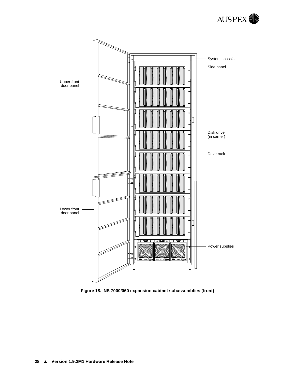

<span id="page-31-0"></span>

**Figure 18. NS 7000/060 expansion cabinet subassemblies (front)**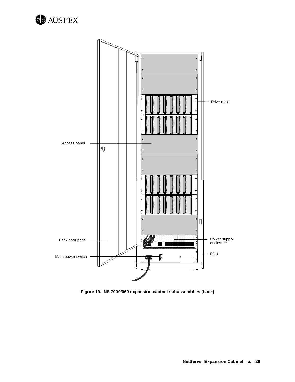<span id="page-32-0"></span>



**Figure 19. NS 7000/060 expansion cabinet subassemblies (back)**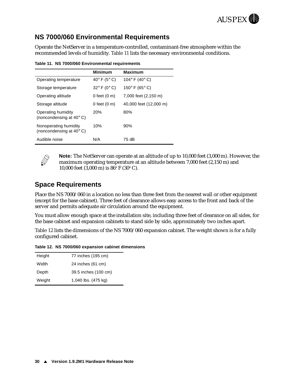

### <span id="page-33-0"></span>**NS 7000/060 Environmental Requirements**

Operate the NetServer in a temperature-controlled, contaminant-free atmosphere within the recommended levels of humidity. Table 11 lists the necessary environmental conditions.

**Table 11. NS 7000/060 Environmental requirements**

|                                                            | <b>Minimum</b>                  | Maximum                          |
|------------------------------------------------------------|---------------------------------|----------------------------------|
| Operating temperature                                      | 40 $\degree$ F (5 $\degree$ C)  | 104 $\degree$ F (40 $\degree$ C) |
| Storage temperature                                        | $32^{\circ}$ F (0 $^{\circ}$ C) | 150 $\degree$ F (65 $\degree$ C) |
| Operating altitude                                         | 0 feet $(0 \text{ m})$          | 7,000 feet (2,150 m)             |
| Storage altitude                                           | 0 feet $(0, m)$                 | 40,000 feet (12,000 m)           |
| Operating humidity<br>(noncondensing at $40^{\circ}$ C)    | 20%                             | 80%                              |
| Nonoperating humidity<br>(noncondensing at $40^{\circ}$ C) | 10%                             | 90%                              |
| Audible noise                                              | N/A                             | 75 dB                            |



**Note:** The NetServer can operate at an altitude of up to 10,000 feet (3,000 m). However, the maximum operating temperature at an altitude between 7,000 feet (2,150 m) and 10,000 feet (3,000 m) is  $86^{\circ}$  F (30 $^{\circ}$  C).

### **Space Requirements**

Place the NS 7000/060 in a location no less than three feet from the nearest wall or other equipment (except for the base cabinet). Three feet of clearance allows easy access to the front and back of the server and permits adequate air circulation around the equipment.

You must allow enough space at the installation site, including three feet of clearance on all sides, for the base cabinet and expansion cabinets to stand side by side, approximately two inches apart.

Table 12 lists the dimensions of the NS 7000/060 expansion cabinet. The weight shown is for a fully configured cabinet.

**Table 12. NS 7000/060 expansion cabinet dimensions** 

| 77 inches (195 cm)   |
|----------------------|
| 24 inches (61 cm)    |
| 39.5 inches (100 cm) |
| 1,040 lbs. (475 kg)  |
|                      |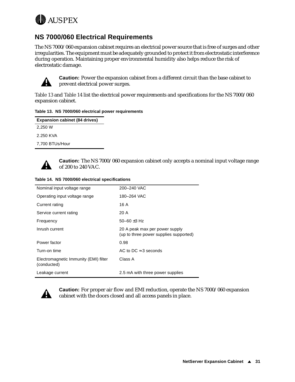<span id="page-34-0"></span>

### **NS 7000/060 Electrical Requirements**

The NS 7000/060 expansion cabinet requires an electrical power source that is free of surges and other irregularities. The equipment must be adequately grounded to protect it from electrostatic interference during operation. Maintaining proper environmental humidity also helps reduce the risk of electrostatic damage.



**Caution:** Power the expansion cabinet from a different circuit than the base cabinet to prevent electrical power surges.

Table 13 and Table 14 list the electrical power requirements and specifications for the NS 7000/060 expansion cabinet.

#### **Table 13. NS 7000/060 electrical power requirements**

| <b>Expansion cabinet (84 drives)</b> |  |
|--------------------------------------|--|
| 2.250 W                              |  |
| 2.250 KVA                            |  |
| 7,700 BTUs/Hour                      |  |
|                                      |  |



**Caution:** The NS 7000/060 expansion cabinet only accepts a nominal input voltage range of 200 to 240 VAC.

| Table 14. NS 7000/060 electrical specifications |  |
|-------------------------------------------------|--|
|                                                 |  |

| Nominal input voltage range                          | 200-240 VAC                                                              |
|------------------------------------------------------|--------------------------------------------------------------------------|
| Operating input voltage range                        | 180-264 VAC                                                              |
| Current rating                                       | 16 A                                                                     |
| Service current rating                               | 20 A                                                                     |
| Frequency                                            | 50-60 $\pm$ 3 Hz                                                         |
| Inrush current                                       | 20 A peak max per power supply<br>(up to three power supplies supported) |
| Power factor                                         | 0.98                                                                     |
| Turn-on time                                         | AC to DC $\approx$ 3 seconds                                             |
| Electromagnetic Immunity (EMI) filter<br>(conducted) | Class A                                                                  |
| Leakage current                                      | 2.5 mA with three power supplies                                         |



**Caution:** For proper air flow and EMI reduction, operate the NS 7000/060 expansion cabinet with the doors closed and all access panels in place.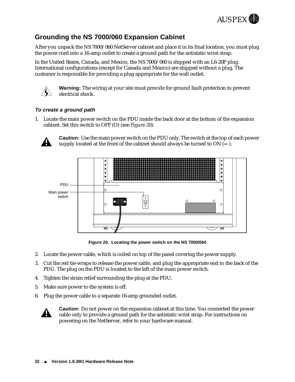

# <span id="page-35-0"></span>**Grounding the NS 7000/060 Expansion Cabinet**

After you unpack the NS 7000/060 NetServer cabinet and place it in its final location, you must plug the power cord into a 16-amp outlet to create a ground path for the antistatic wrist strap.

In the United States, Canada, and Mexico, the NS 7000/060 is shipped with an L6-20P plug. International configurations (except for Canada and Mexico) are shipped without a plug. The customer is responsible for providing a plug appropriate for the wall outlet.



**Warning:** The wiring at your site must provide for ground fault protection to prevent electrical shock.

#### **To create a ground path**

1. Locate the main power switch on the PDU inside the back door at the bottom of the expansion cabinet. Set this switch to OFF (O) (see Figure 20).



**Caution:** Use the main power switch on the PDU only. The switch at the top of each power supply located at the front of the cabinet should always be turned to ON (**—**).



**Figure 20. Locating the power switch on the NS 7000/060**

- 2. Locate the power cable, which is coiled on top of the panel covering the power supply.
- 3. Cut the red tie-wraps to release the power cable, and plug the appropriate end to the back of the PDU. The plug on the PDU is located to the left of the main power switch.
- 4. Tighten the strain relief surrounding the plug at the PDU.
- 5. Make sure power to the system is off.
- 6. Plug the power cable to a separate 16-amp grounded outlet.



**Caution:** Do not power on the expansion cabinet at this time. You connected the power cable only to provide a ground path for the antistatic wrist strap. For instructions on powering on the NetServer, refer to your hardware manual.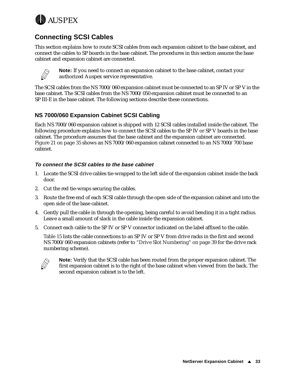<span id="page-36-0"></span>

# **Connecting SCSI Cables**

This section explains how to route SCSI cables from each expansion cabinet to the base cabinet, and connect the cables to SP boards in the base cabinet. The procedures in this section assume the base cabinet and expansion cabinet are connected.



**Note:** If you need to connect an expansion cabinet to the base cabinet, contact your authorized Auspex service representative.

The SCSI cables from the NS 7000/060 expansion cabinet must be connected to an SP IV or SP V in the base cabinet. The SCSI cables from the NS 7000/050 expansion cabinet must be connected to an SP III-E in the base cabinet. The following sections describe these connections.

#### **NS 7000/060 Expansion Cabinet SCSI Cabling**

Each NS 7000/060 expansion cabinet is shipped with 12 SCSI cables installed inside the cabinet. The following procedure explains how to connect the SCSI cables to the SP IV or SP V boards in the base cabinet. The procedure assumes that the base cabinet and the expansion cabinet are connected. [Figure 21 on page 3](#page-38-0)5 shows an NS 7000/060 expansion cabinet connected to an NS 7000/700 base cabinet.

#### **To connect the SCSI cables to the base cabinet**

- 1. Locate the SCSI drive cables tie-wrapped to the left side of the expansion cabinet inside the back door.
- 2. Cut the red tie-wraps securing the cables.
- 3. Route the free end of each SCSI cable through the open side of the expansion cabinet and into the open side of the base cabinet.
- 4. Gently pull the cable in through the opening, being careful to avoid bending it in a tight radius. Leave a small amount of slack in the cable inside the expansion cabinet.
- 5. Connect each cable to the SP IV or SP V connector indicated on the label affixed to the cable.

[Table 15](#page-37-0) lists the cable connections to an SP IV or SP V from drive racks in the first and second NS 7000/060 expansion cabinets (ref[er to "Drive Slot Numbering" on](#page-42-0) page 39 for the drive rack numbering scheme).



**Note:** Verify that the SCSI cable has been routed from the proper expansion cabinet. The first expansion cabinet is to the right of the base cabinet when viewed from the back. The second expansion cabinet is to the left.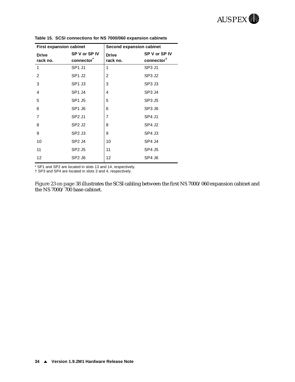| <b>First expansion cabinet</b> |                                | Second expansion cabinet |                                         |  |
|--------------------------------|--------------------------------|--------------------------|-----------------------------------------|--|
| <b>Drive</b><br>rack no.       | SP V or SP IV<br>connector     | <b>Drive</b><br>rack no. | SP V or SP IV<br>connector <sup>T</sup> |  |
| 1                              | SP1 J1                         | 1                        | SP <sub>3</sub> J <sub>1</sub>          |  |
| $\overline{2}$                 | SP <sub>1</sub> J <sub>2</sub> | $\overline{2}$           | SP <sub>3</sub> J <sub>2</sub>          |  |
| 3                              | SP <sub>1</sub> J <sub>3</sub> | 3                        | SP3 J3                                  |  |
| 4                              | SP <sub>1</sub> J <sub>4</sub> | 4                        | SP <sub>3</sub> J <sub>4</sub>          |  |
| 5                              | SP1 J5                         | 5                        | SP3 J5                                  |  |
| 6                              | SP <sub>1</sub> J <sub>6</sub> | 6                        | SP <sub>3</sub> J <sub>6</sub>          |  |
| $\overline{7}$                 | SP <sub>2</sub> J <sub>1</sub> | 7                        | <b>SP4 J1</b>                           |  |
| 8                              | SP <sub>2</sub> J <sub>2</sub> | 8                        | SP4 J2                                  |  |
| 9                              | SP <sub>2</sub> J <sub>3</sub> | 9                        | SP4 J3                                  |  |
| 10                             | SP <sub>2</sub> J <sub>4</sub> | 10                       | SP4 J4                                  |  |
| 11                             | SP2 J5                         | 11                       | SP4 J5                                  |  |
| 12                             | SP <sub>2</sub> J <sub>6</sub> | 12                       | SP4 J6                                  |  |

<span id="page-37-0"></span>**Table 15. SCSI connections for NS 7000/060 expansion cabinets**

\* SP1 and SP2 are located in slots 13 and 14, respectively.

† SP3 and SP4 are located in slots 3 and 4, respectively.

[Figure 23 on page 3](#page-41-0)8 illustrates the SCSI cabling between the first NS 7000/060 expansion cabinet and the NS 7000/700 base cabinet.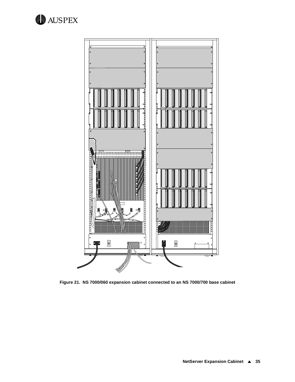<span id="page-38-0"></span>



**Figure 21. NS 7000/060 expansion cabinet connected to an NS 7000/700 base cabinet**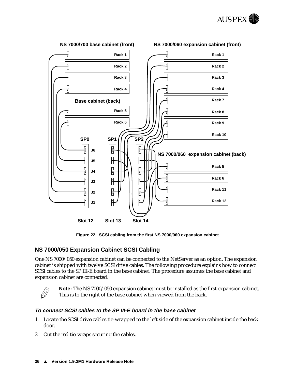

<span id="page-39-0"></span>

#### **Figure 22. SCSI cabling from the first NS 7000/060 expansion cabinet**

#### **NS 7000/050 Expansion Cabinet SCSI Cabling**

One NS 7000/050 expansion cabinet can be connected to the NetServer as an option. The expansion cabinet is shipped with twelve SCSI drive cables. The following procedure explains how to connect SCSI cables to the SP III-E board in the base cabinet. The procedure assumes the base cabinet and expansion cabinet are connected.



**Note:** The NS 7000/050 expansion cabinet must be installed as the first expansion cabinet. This is to the right of the base cabinet when viewed from the back.

#### **To connect SCSI cables to the SP III-E board in the base cabinet**

- 1. Locate the SCSI drive cables tie-wrapped to the left side of the expansion cabinet inside the back door.
- 2. Cut the red tie-wraps securing the cables.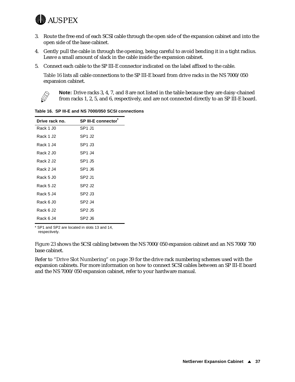

- 3. Route the free end of each SCSI cable through the open side of the expansion cabinet and into the open side of the base cabinet.
- 4. Gently pull the cable in through the opening, being careful to avoid bending it in a tight radius. Leave a small amount of slack in the cable inside the expansion cabinet.
- 5. Connect each cable to the SP III-E connector indicated on the label affixed to the cable.

Table 16 lists all cable connections to the SP III-E board from drive racks in the NS 7000/050 expansion cabinet.



**Note:** Drive racks 3, 4, 7, and 8 are not listed in the table because they are daisy-chained from racks 1, 2, 5, and 6, respectively, and are not connected directly to an SP III-E board.

**Drive rack no.** SP III-E connector<sup>\*</sup> Rack 1 J0 SP1 J1 Rack 1 J2 SP1 J2 Rack 1 J4 SP1 J3 Rack 2 J0 SP1 J4 Rack 2 J2 SP1 J5 Rack 2 J4 SP1 J6 Rack 5 J0 SP2 J1 Rack 5 J2 SP2 J2 Rack 5 J4 SP2 J3 Rack 6 J0 SP2 J4 Rack 6 J2 SP2 J5 Rack 6 J4 SP2 J6

**Table 16. SP III-E and NS 7000/050 SCSI connections**

\* SP1 and SP2 are located in slots 13 and 14, respectively.

[Figure 23](#page-41-0) shows the SCSI cabling between the NS 7000/050 expansion cabinet and an NS 7000/700 base cabinet.

Refer t[o "Drive Slot Numbering" on pag](#page-42-0)e 39 for the drive rack numbering schemes used with the expansion cabinets. For more information on how to connect SCSI cables between an SP III-E board and the NS 7000/050 expansion cabinet, refer to your hardware manual.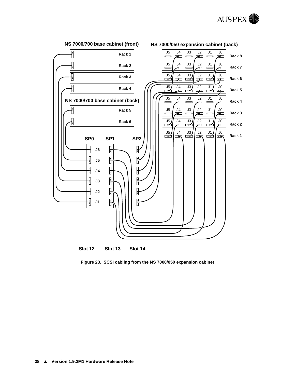

<span id="page-41-0"></span>

**Figure 23. SCSI cabling from the NS 7000/050 expansion cabinet**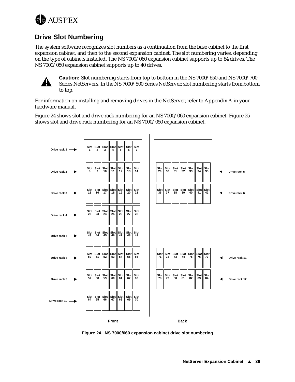<span id="page-42-0"></span>

# **Drive Slot Numbering**

The system software recognizes slot numbers as a continuation from the base cabinet to the first expansion cabinet, and then to the second expansion cabinet. The slot numbering varies, depending on the type of cabinets installed. The NS 7000/060 expansion cabinet supports up to 84 drives. The NS 7000/050 expansion cabinet supports up to 40 drives.



**Caution:** Slot numbering starts from top to bottom in the NS 7000/650 and NS 7000/700 Series NetServers. In the NS 7000/500 Series NetServer, slot numbering starts from bottom to top.

For information on installing and removing drives in the NetServer, refer to Appendix A in your hardware manual.

Figure 24 shows slot and drive rack numbering for an NS 7000/060 expansio[n cabinet.](#page-43-0) Figure 25 shows slot and drive rack numbering for an NS 7000/050 expansion cabinet.



**Figure 24. NS 7000/060 expansion cabinet drive slot numbering**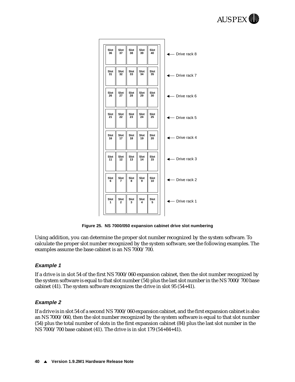<span id="page-43-0"></span>

| Slot<br>36 | Slot<br>37 | Slot<br>38 | Slot<br>39 | Slot<br>40 | Drive rack 8       |
|------------|------------|------------|------------|------------|--------------------|
| Slot<br>31 | Slot<br>32 | Slot<br>33 | Slot<br>34 | Slot<br>35 | Drive rack 7       |
| Slot<br>26 | Slot<br>27 | Slot<br>28 | Slot<br>29 | Slot<br>30 | Drive rack 6       |
| Slot<br>21 | Slot<br>22 | Slot<br>23 | Slot<br>24 | Slot<br>25 | Drive rack 5       |
| Slot<br>16 | Slot<br>17 | Slot<br>18 | Slot<br>19 | Slot<br>20 | Drive rack 4       |
| Slot<br>11 | Slot<br>12 | Slot<br>13 | Slot<br>14 | Slot<br>15 | Drive rack 3<br>└─ |
| Slot<br>6  | Slot<br>7  | Slot<br>8  | Slot<br>9  | Slot<br>10 | Drive rack 2       |
| Slot<br>1  | Slot<br>2  | Slot<br>3  | Slot<br>4  | Slot<br>5  | Drive rack 1       |
|            |            |            |            |            |                    |

**Figure 25. NS 7000/050 expansion cabinet drive slot numbering** 

Using addition, you can determine the proper slot number recognized by the system software. To calculate the proper slot number recognized by the system software, see the following examples. The examples assume the base cabinet is an NS 7000/700.

#### **Example 1**

If a drive is in slot 54 of the first NS 7000/060 expansion cabinet, then the slot number recognized by the system software is equal to that slot number (54) plus the last slot number in the NS 7000/700 base cabinet (41). The system software recognizes the drive in slot 95 (54+41).

#### **Example 2**

If a drive is in slot 54 of a second NS 7000/060 expansion cabinet, and the first expansion cabinet is also an NS 7000/060, then the slot number recognized by the system software is equal to that slot number (54) plus the total number of slots in the first expansion cabinet (84) plus the last slot number in the NS 7000/700 base cabinet (41). The drive is in slot 179 (54+84+41).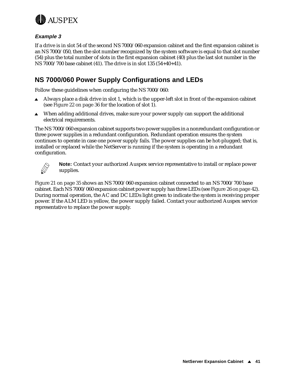<span id="page-44-0"></span>

#### **Example 3**

If a drive is in slot 54 of the second NS 7000/060 expansion cabinet and the first expansion cabinet is an NS 7000/050, then the slot number recognized by the system software is equal to that slot number (54) plus the total number of slots in the first expansion cabinet (40) plus the last slot number in the NS 7000/700 base cabinet (41). The drive is in slot 135 (54+40+41).

# **NS 7000/060 Power Supply Configurations and LEDs**

Follow these guidelines when configuring the NS 7000/060:

- Always place a disk drive in slot 1, which is the upper-left slot in front of the expansion cabinet (see [Figure 22 on page](#page-39-0) 36 for the location of slot 1).
- $\blacktriangle$  When adding additional drives, make sure your power supply can support the additional electrical requirements.

The NS 7000/060 expansion cabinet supports two power supplies in a nonredundant configuration or three power supplies in a redundant configuration. Redundant operation ensures the system continues to operate in case one power supply fails. The power supplies can be hot-plugged; that is, installed or replaced while the NetServer is running if the system is operating in a redundant configuration.



**Note:** Contact your authorized Auspex service representative to install or replace power supplies.

[Figure 21 on page 3](#page-38-0)5 shows an NS 7000/060 expansion cabinet connected to an NS 7000/700 base cabinet. Each NS 7000/060 expansion cabinet power supply has three LE[Ds \(see Figure 26 on](#page-45-0) page 42). During normal operation, the AC and DC LEDs light green to indicate the system is receiving proper power. If the ALM LED is yellow, the power supply failed. Contact your authorized Auspex service representative to replace the power supply.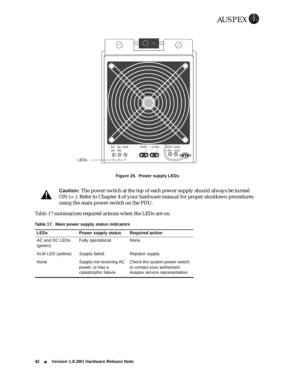

<span id="page-45-0"></span>

**Figure 26. Power supply LEDs**

**Caution:** The power switch at the top of each power supply should always be turned ON (**—**). Refer to Chapter 4 of your hardware manual for proper shutdown procedures using the main power switch on the PDU.

Table 17 summarizes required actions when the LEDs are on.

**Table 17. Main power supply status indicators**

A

| <b>LEDs</b>               | Power supply status                                                 | <b>Required action</b>                                                                         |
|---------------------------|---------------------------------------------------------------------|------------------------------------------------------------------------------------------------|
| AC and DC LEDs<br>(green) | Fully operational.                                                  | None.                                                                                          |
| ALM LED (yellow)          | Supply failed.                                                      | Replace supply.                                                                                |
| None                      | Supply not receiving AC<br>power, or has a<br>catastrophic failure. | Check the system power switch,<br>or contact your authorized<br>Auspex service representative. |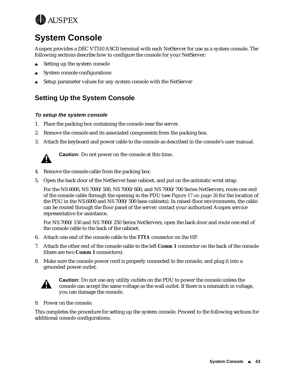<span id="page-46-0"></span>

# **System Console**

Auspex provides a DEC VT510 ASCII terminal with each NetServer for use as a system console. The following sections describe how to configure the console for your NetServer:

- $\triangle$  Setting up the system console
- $\triangle$  System console configurations
- <sup>s</sup> Setup parameter values for any system console with the NetServer

# **Setting Up the System Console**

#### **To setup the system console**

- 1. Place the packing box containing the console near the server.
- 2. Remove the console and its associated components from the packing box.
- 3. Attach the keyboard and power cable to the console as described in the console's user manual.



**Caution:** Do not power on the console at this time.

- 4. Remove the console cable from the packing box.
- 5. Open the back door of the NetServer base cabinet, and put on the antistatic wrist strap.

For the NS 6000, NS 7000/500, NS 7000/600, and NS 7000/700 Series NetServers, route one end of the console cable through the opening in the PD[U \(see Figure 17 on](#page-29-0) page 26 for the location of the PDU in the NS 6000 and NS 7000/500 base cabinets). In raised-floor environments, the cable can be routed through the floor panel of the server; contact your authorized Auspex service representative for assistance.

For NS 7000/150 and NS 7000/250 Series NetServers, open the back door and route one end of the console cable to the back of the cabinet.

- 6. Attach one end of the console cable to the *TTYA* connector on the HP.
- 7. Attach the other end of the console cable to the left *Comm 1* connector on the back of the console (there are two **Comm 1** connectors).
- 8. Make sure the console power cord is properly connected to the console, and plug it into a grounded power outlet.



**Caution:** Do not use any utility outlets on the PDU to power the console unless the console can accept the same voltage as the wall outlet. If there is a mismatch in voltage, you can damage the console.

9. Power on the console.

This completes the procedure for setting up the system console. Proceed to the following sections for additional console configurations.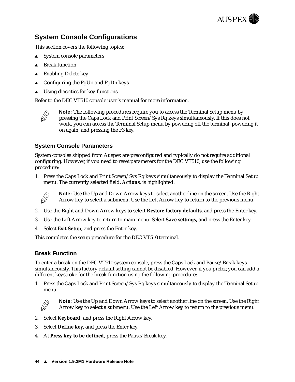

# <span id="page-47-0"></span>**System Console Configurations**

This section covers the following topics:

- $\triangle$  System console parameters
- **Break function**
- **Enabling Delete key**
- Configuring the PgUp and PgDn keys
- Using diacritics for key functions

Refer to the DEC VT510 console user's manual for more information.



**Note:** The following procedures require you to access the Terminal Setup menu by pressing the Caps Lock and Print Screen/Sys Rq keys simultaneously. If this does not work, you can access the Terminal Setup menu by powering off the terminal, powering it on again, and pressing the F3 key.

#### **System Console Parameters**

System consoles shipped from Auspex are preconfigured and typically do not require additional configuring. However, if you need to reset parameters for the DEC VT510, use the following procedure:

1. Press the Caps Lock and Print Screen/Sys Rq keys simultaneously to display the Terminal Setup menu. The currently selected field, **Actions**, is highlighted.



**Note:** Use the Up and Down Arrow keys to select another line on the screen. Use the Right Arrow key to select a submenu. Use the Left Arrow key to return to the previous menu.

- 2. Use the Right and Down Arrow keys to select **Restore factory defaults**, and press the Enter key.
- 3. Use the Left Arrow key to return to main menu. Select **Save settings,** and press the Enter key.
- 4. Select **Exit Setup,** and press the Enter key.

This completes the setup procedure for the DEC VT510 terminal.

#### **Break Function**

To enter a break on the DEC VT510 system console, press the Caps Lock and Pause/Break keys simultaneously. This factory default setting cannot be disabled. However, if you prefer, you can add a different keystroke for the break function using the following procedure:

1. Press the Caps Lock and Print Screen/Sys Rq keys simultaneously to display the Terminal Setup menu*.*



**Note:** Use the Up and Down Arrow keys to select another line on the screen. Use the Right Arrow key to select a submenu. Use the Left Arrow key to return to the previous menu.

- 2. Select **Keyboard,** and press the Right Arrow key.
- 3. Select **Define key,** and press the Enter key.
- 4. At **Press key to be defined**, press the Pause/Break key.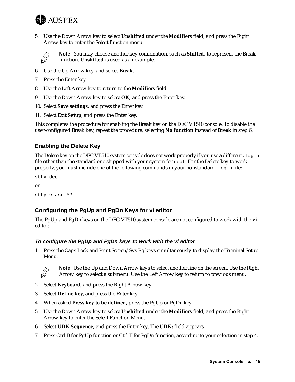<span id="page-48-0"></span>

5. Use the Down Arrow key to select **Unshifted** under the **Modifiers** field, and press the Right Arrow key to enter the Select function menu.



**Note:** You may choose another key combination, such as **Shifted**, to represent the Break function. **Unshifted** is used as an example.

- 6. Use the Up Arrow key, and select **Break**.
- 7. Press the Enter key.
- 8. Use the Left Arrow key to return to the **Modifiers** field.
- 9. Use the Down Arrow key to select **OK,** and press the Enter key.
- 10. Select **Save settings,** and press the Enter key.
- 11. Select **Exit Setup**, and press the Enter key.

This completes the procedure for enabling the Break key on the DEC VT510 console. To disable the user-configured Break key, repeat the procedure, selecting **No function** instead of **Break** in step 6.

#### **Enabling the Delete Key**

The Delete key on the DEC VT510 system console does not work properly if you use a different.  $login$ file other than the standard one shipped with your system for root. For the Delete key to work properly, you must include one of the following commands in your nonstandard. login file:

```
stty dec
or
stty erase ^?
```
#### **Configuring the PgUp and PgDn Keys for vi editor**

The PgUp and PgDn keys on the DEC VT510 system console are not configured to work with the **vi** editor.

#### **To configure the PgUp and PgDn keys to work with the vi editor**

1. Press the Caps Lock and Print Screen/Sys Rq keys simultaneously to display the Terminal Setup Menu.



**Note:** Use the Up and Down Arrow keys to select another line on the screen. Use the Right Arrow key to select a submenu. Use the Left Arrow key to return to previous menu.

- 2. Select **Keyboard,** and press the Right Arrow key.
- 3. Select **Define key,** and press the Enter key.
- 4. When asked **Press key to be defined,** press the PgUp or PgDn key.
- 5. Use the Down Arrow key to select **Unshifted** under the **Modifiers** field, and press the Right Arrow key to enter the Select Function Menu.
- 6. Select **UDK Sequence,** and press the Enter key. The **UDK:** field appears.
- 7. Press Ctrl-B for PgUp function or Ctrl-F for PgDn function, according to your selection in step 4.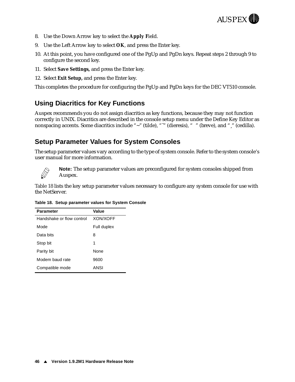

- <span id="page-49-0"></span>8. Use the Down Arrow key to select the **Apply F**ield.
- 9. Use the Left Arrow key to select **OK**, and press the Enter key.
- 10. At this point, you have configured one of the PgUp and PgDn keys. Repeat steps 2 through 9 to configure the second key.
- 11. Select **Save Settings,** and press the Enter key.
- 12. Select **Exit Setup,** and press the Enter key.

This completes the procedure for configuring the PgUp and PgDn keys for the DEC VT510 console.

### **Using Diacritics for Key Functions**

Auspex recommends you do not assign diacritics as key functions, because they may not function correctly in UNIX. Diacritics are described in the console setup menu under the Define Key Editor as nonspacing accents. Some diacritics include "~" (tilde), """ (dieresis), " " (breve), and " " (cedilla).

### **Setup Parameter Values for System Consoles**

The setup parameter values vary according to the type of system console. Refer to the system console's user manual for more information.



**Note:** The setup parameter values are preconfigured for system consoles shipped from Auspex.

Table 18 lists the key setup parameter values necessary to configure any system console for use with the NetServer.

|  | Table 18. Setup parameter values for System Console |  |  |
|--|-----------------------------------------------------|--|--|
|  |                                                     |  |  |

| <b>Parameter</b>          | Value           |  |  |  |
|---------------------------|-----------------|--|--|--|
| Handshake or flow control | <b>XON/XOFF</b> |  |  |  |
| Mode                      | Full duplex     |  |  |  |
| Data bits                 | 8               |  |  |  |
| Stop bit                  | 1               |  |  |  |
| Parity bit                | None            |  |  |  |
| Modem baud rate           | 9600            |  |  |  |
| Compatible mode           | ANSI            |  |  |  |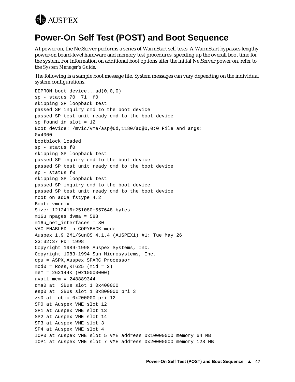<span id="page-50-0"></span>

# **Power-On Self Test (POST) and Boot Sequence**

At power on, the NetServer performs a series of WarmStart self tests. A WarmStart bypasses lengthy power-on board-level hardware and memory test procedures, speeding up the overall boot time for the system. For information on additional boot options after the initial NetServer power on, refer to the *System Manager's Guide*.

The following is a sample boot message file. System messages can vary depending on the individual system configurations.

EEPROM boot device...ad(0,0,0) sp - status 70 71 f0 skipping SP loopback test passed SP inquiry cmd to the boot device passed SP test unit ready cmd to the boot device sp found in slot = 12 Boot device: /mvic/vme/asp@6d,1180/ad@0,0:0 File and args: 0x4000 bootblock loaded sp - status f0 skipping SP loopback test passed SP inquiry cmd to the boot device passed SP test unit ready cmd to the boot device sp - status f0 skipping SP loopback test passed SP inquiry cmd to the boot device passed SP test unit ready cmd to the boot device root on ad0a fstype 4.2 Boot: vmunix Size: 1212416+251080+557648 bytes m16u\_npages\_dvma = 588 m16u\_net\_interfaces = 30 VAC ENABLED in COPYBACK mode Auspex 1.9.2M1/SunOS 4.1.4 (AUSPEX1) #1: Tue May 26 23:32:37 PDT 1998 Copyright 1989-1998 Auspex Systems, Inc. Copyright 1983-1994 Sun Microsystems, Inc. cpu = ASPX,Auspex SPARC Processor mod0 = Ross,RT625 (mid = 2) mem = 262144K (0x10000000) avail mem = 248889344 dma0 at SBus slot 1 0x400000 esp0 at SBus slot 1 0x800000 pri 3 zs0 at obio 0x200000 pri 12 SP0 at Auspex VME slot 12 SP1 at Auspex VME slot 13 SP2 at Auspex VME slot 14 SP3 at Auspex VME slot 3 SP4 at Auspex VME slot 4 IOP0 at Auspex VME slot 5 VME address 0x10000000 memory 64 MB IOP1 at Auspex VME slot 7 VME address 0x20000000 memory 128 MB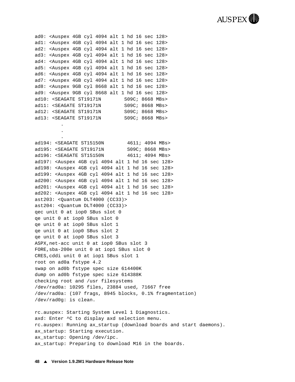

ad0: <Auspex 4GB cyl 4094 alt 1 hd 16 sec 128> ad1: <Auspex 4GB cyl 4094 alt 1 hd 16 sec 128> ad2: <Auspex 4GB cyl 4094 alt 1 hd 16 sec 128> ad3: <Auspex 4GB cyl 4094 alt 1 hd 16 sec 128> ad4: <Auspex 4GB cyl 4094 alt 1 hd 16 sec 128> ad5: <Auspex 4GB cyl 4094 alt 1 hd 16 sec 128> ad6: <Auspex 4GB cyl 4094 alt 1 hd 16 sec 128> ad7: <Auspex 4GB cyl 4094 alt 1 hd 16 sec 128> ad8: <Auspex 9GB cyl 8668 alt 1 hd 16 sec 128> ad9: <Auspex 9GB cyl 8668 alt 1 hd 16 sec 128> ad10: <SEAGATE ST19171N S09C; 8668 MBs> ad11: <SEAGATE ST19171N S09C; 8668 MBs> ad12: <SEAGATE ST19171N S09C; 8668 MBs> ad13: <SEAGATE ST19171N S09C; 8668 MBs>

> . .

. ad194: <SEAGATE ST15150N 4611; 4094 MBs> ad195: <SEAGATE ST19171N S09C; 8668 MBs> ad196: <SEAGATE ST15150N 4611; 4094 MBs> ad197: <Auspex 4GB cyl 4094 alt 1 hd 16 sec 128> ad198: <Auspex 4GB cyl 4094 alt 1 hd 16 sec 128> ad199: <Auspex 4GB cyl 4094 alt 1 hd 16 sec 128> ad200: <Auspex 4GB cyl 4094 alt 1 hd 16 sec 128> ad201: <Auspex 4GB cyl 4094 alt 1 hd 16 sec 128> ad202: <Auspex 4GB cyl 4094 alt 1 hd 16 sec 128> ast203: <Quantum DLT4000 (CC33)> ast204: <Quantum DLT4000 (CC33)> qec unit 0 at iop0 SBus slot 0 qe unit 0 at iop0 SBus slot 0 qe unit 0 at iop0 SBus slot 1 qe unit 0 at iop0 SBus slot 2 qe unit 0 at iop0 SBus slot 3 ASPX,net-acc unit 0 at iop0 SBus slot 3 FORE,sba-200e unit 0 at iop1 SBus slot 0 CRES,cddi unit 0 at iop1 SBus slot 1 root on ad0a fstype 4.2 swap on ad0b fstype spec size 614400K dump on ad0b fstype spec size 614388K checking root and /usr filesystems /dev/rad0a: 10295 files, 23884 used, 71667 free /dev/rad0a: (107 frags, 8945 blocks, 0.1% fragmentation) /dev/rad0g: is clean.

rc.auspex: Starting System Level 1 Diagnostics. axd: Enter ^C to display axd selection menu. rc.auspex: Running ax\_startup (download boards and start daemons). ax\_startup: Starting execution. ax\_startup: Opening /dev/ipc. ax startup: Preparing to download M16 in the boards.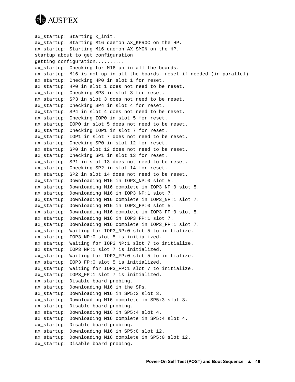

ax\_startup: Starting k\_init. ax\_startup: Starting M16 daemon AX\_KPROC on the HP. ax\_startup: Starting M16 daemon AX\_SMON on the HP. startup about to get\_configuration getting configuration.......... ax startup: Checking for M16 up in all the boards. ax\_startup: M16 is not up in all the boards, reset if needed (in parallel). ax startup: Checking HP0 in slot 1 for reset. ax startup: HP0 in slot 1 does not need to be reset. ax\_startup: Checking SP3 in slot 3 for reset. ax\_startup: SP3 in slot 3 does not need to be reset. ax\_startup: Checking SP4 in slot 4 for reset. ax\_startup: SP4 in slot 4 does not need to be reset. ax\_startup: Checking IOP0 in slot 5 for reset. ax\_startup: IOP0 in slot 5 does not need to be reset. ax\_startup: Checking IOP1 in slot 7 for reset. ax\_startup: IOP1 in slot 7 does not need to be reset. ax startup: Checking SP0 in slot 12 for reset. ax\_startup: SP0 in slot 12 does not need to be reset. ax\_startup: Checking SP1 in slot 13 for reset. ax startup: SP1 in slot 13 does not need to be reset. ax\_startup: Checking SP2 in slot 14 for reset. ax\_startup: SP2 in slot 14 does not need to be reset. ax startup: Downloading M16 in IOP3 NP:0 slot 5. ax\_startup: Downloading M16 complete in IOP3\_NP:0 slot 5. ax\_startup: Downloading M16 in IOP3\_NP:1 slot 7. ax\_startup: Downloading M16 complete in IOP3\_NP:1 slot 7. ax\_startup: Downloading M16 in IOP3\_FP:0 slot 5. ax\_startup: Downloading M16 complete in IOP3\_FP:0 slot 5. ax\_startup: Downloading M16 in IOP3\_FP:1 slot 7. ax\_startup: Downloading M16 complete in IOP3\_FP:1 slot 7. ax\_startup: Waiting for IOP3\_NP:0 slot 5 to initialize. ax\_startup: IOP3\_NP:0 slot 5 is initialized. ax\_startup: Waiting for IOP3\_NP:1 slot 7 to initialize. ax\_startup: IOP3\_NP:1 slot 7 is initialized. ax\_startup: Waiting for IOP3\_FP:0 slot 5 to initialize. ax startup: IOP3 FP:0 slot 5 is initialized. ax\_startup: Waiting for IOP3\_FP:1 slot 7 to initialize. ax startup: IOP3 FP:1 slot 7 is initialized. ax\_startup: Disable board probing. ax\_startup: Downloading M16 in the SPs. ax\_startup: Downloading M16 in SP5:3 slot 3. ax\_startup: Downloading M16 complete in SP5:3 slot 3. ax\_startup: Disable board probing. ax\_startup: Downloading M16 in SP5:4 slot 4. ax\_startup: Downloading M16 complete in SP5:4 slot 4. ax\_startup: Disable board probing. ax\_startup: Downloading M16 in SP5:0 slot 12. ax\_startup: Downloading M16 complete in SP5:0 slot 12. ax\_startup: Disable board probing.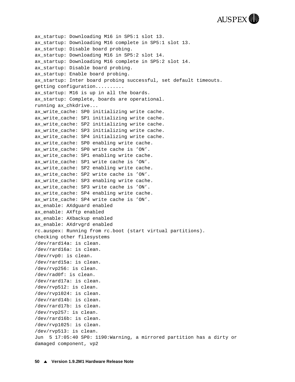**AUSPEX** 

ax\_startup: Downloading M16 in SP5:1 slot 13. ax\_startup: Downloading M16 complete in SP5:1 slot 13. ax startup: Disable board probing. ax\_startup: Downloading M16 in SP5:2 slot 14. ax startup: Downloading M16 complete in SP5:2 slot 14. ax startup: Disable board probing. ax\_startup: Enable board probing. ax startup: Inter board probing successful, set default timeouts. getting configuration.......... ax\_startup: M16 is up in all the boards. ax\_startup: Complete, boards are operational. running ax\_chkdrive... ax write cache: SP0 initializing write cache. ax\_write\_cache: SP1 initializing write cache. ax\_write\_cache: SP2 initializing write cache. ax\_write\_cache: SP3 initializing write cache. ax\_write\_cache: SP4 initializing write cache. ax write cache: SP0 enabling write cache. ax write cache: SP0 write cache is 'ON'. ax\_write\_cache: SP1 enabling write cache. ax write cache: SP1 write cache is 'ON'. ax\_write\_cache: SP2 enabling write cache. ax\_write\_cache: SP2 write cache is 'ON'. ax write cache: SP3 enabling write cache. ax\_write\_cache: SP3 write cache is 'ON'. ax write cache: SP4 enabling write cache. ax\_write\_cache: SP4 write cache is 'ON'. ax\_enable: AXdguard enabled ax\_enable: AXftp enabled ax\_enable: AXbackup enabled ax\_enable: AXdrvgrd enabled rc.auspex: Running from rc.boot (start virtual partitions). checking other filesystems /dev/rard14a: is clean. /dev/rard16a: is clean. /dev/rvp0: is clean. /dev/rard15a: is clean. /dev/rvp256: is clean. /dev/rad0f: is clean. /dev/rard17a: is clean. /dev/rvp512: is clean. /dev/rvp1024: is clean. /dev/rard14b: is clean. /dev/rard17b: is clean. /dev/rvp257: is clean. /dev/rard16b: is clean. /dev/rvp1025: is clean. /dev/rvp513: is clean. Jun 5 17:05:40 SP0: 1190:Warning, a mirrored partition has a dirty or damaged component, vp2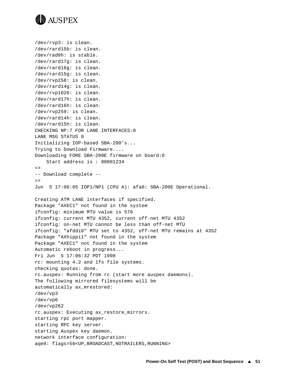

```
/dev/rvp3: is clean.
/dev/rard15b: is clean.
/dev/rad0h: is stable.
/dev/rard17g: is clean.
/dev/rard16g: is clean.
/dev/rard15g: is clean.
/dev/rvp258: is clean.
/dev/rard14g: is clean.
/dev/rvp1026: is clean.
/dev/rard17h: is clean.
/dev/rard16h: is clean.
/dev/rvp259: is clean.
/dev/rard14h: is clean.
/dev/rard15h: is clean.
CHECKING NP:7 FOR LANE INTERFACES:0
LANE MSG STATUS 0
Initializing IOP-based SBA-200's...
Trying to Download Firmware....
Downloading FORE SBA-200E firmware on board:0
     Start address is : 00001234
=>
-- Download complete --
=>
Jun 5 17:06:05 IOP1/NP1 (CPU A): afa0: SBA-200E Operational.
Creating ATM LANE interfaces if specified.
Package "AXEC1" not found in the system
ifconfig: minimum MTU value is 576
ifconfig: current MTU 4352, current off-net MTU 4352
ifconfig: on-net MTU cannot be less than off-net MTU
ifconfig: "afddi0" MTU set to 4352, off-net MTU remains at 4352
Package "AXhippi1" not found in the system
Package "AXEC1" not found in the system
Automatic reboot in progress...
Fri Jun 5 17:06:32 PDT 1998
rc: mounting 4.2 and lfs file systems.
checking quotas: done.
rc.auspex: Running from rc (start more auspex daemons).
The following mirrored filesystems will be
automatically ax_mrestored:
/dev/vp3
/dev/vp6
/dev/vp262
rc.auspex: Executing ax_restore_mirrors.
starting rpc port mapper.
starting RPC key server.
starting Auspex key daemon.
network interface configuration:
age0: flags=56<UP, BROADCAST, NOTRAILERS, RUNNING>
```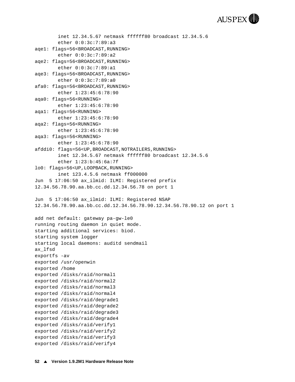

```
 inet 12.34.5.67 netmask ffffff80 broadcast 12.34.5.6
         ether 0:0:3c:7:89:a3 
aqe1: flags=56<BROADCAST,RUNNING>
         ether 0:0:3c:7:89:a2 
aqe2: flags=56<BROADCAST,RUNNING>
         ether 0:0:3c:7:89:a1 
aqe3: flags=56<BROADCAST,RUNNING>
         ether 0:0:3c:7:89:a0 
afa0: flags=56<BROADCAST,RUNNING>
         ether 1:23:45:6:78:90 
aqa0: flags=56<RUNNING>
         ether 1:23:45:6:78:90 
aqa1: flags=56<RUNNING>
         ether 1:23:45:6:78:90 
aqa2: flags=56<RUNNING>
         ether 1:23:45:6:78:90 
aqa3: flags=56<RUNNING>
         ether 1:23:45:6:78:90 
afddi0: flags=56<UP,BROADCAST,NOTRAILERS,RUNNING>
         inet 12.34.5.67 netmask ffffff80 broadcast 12.34.5.6
         ether 1:23:b:45:6a:7f 
lo0: flags=56<UP,LOOPBACK,RUNNING>
         inet 123.4.5.6 netmask ff000000 
Jun 5 17:06:50 ax_ilmid: ILMI: Registered prefix 
12.34.56.78.90.aa.bb.cc.dd.12.34.56.78 on port 1
Jun 5 17:06:50 ax_ilmid: ILMI: Registered NSAP 
12.34.56.78.90.aa.bb.cc.dd.12.34.56.78.90.12.34.56.78.90.12 on port 1
add net default: gateway pa-gw-le0
running routing daemon in quiet mode.
starting additional services: biod.
starting system logger
starting local daemons: auditd sendmail
ax_lfsd
exportfs -av
exported /usr/openwin
exported /home
exported /disks/raid/normal1
exported /disks/raid/normal2
exported /disks/raid/normal3
exported /disks/raid/normal4
exported /disks/raid/degrade1
exported /disks/raid/degrade2
exported /disks/raid/degrade3
exported /disks/raid/degrade4
exported /disks/raid/verify1
exported /disks/raid/verify2
exported /disks/raid/verify3
exported /disks/raid/verify4
```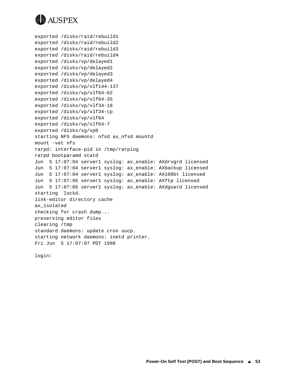

```
exported /disks/raid/rebuild1
exported /disks/raid/rebuild2
exported /disks/raid/rebuild3
exported /disks/raid/rebuild4
exported /disks/vp/delayed1
exported /disks/vp/delayed2
exported /disks/vp/delayed3
exported /disks/vp/delayed4
exported /disks/vp/vlf144-137
exported /disks/vp/vlf64-62
exported /disks/vp/vlf64-35
exported /disks/vp/vlf34-18
exported /disks/vp/vlf34-cp
exported /disks/vp/vlf64
exported /disks/vp/vlf64-7
exported /disks/sg/vp0
starting NFS daemons: nfsd ax_nfsd mountd
mount -vat nfs
rarpd: interface-pid in /tmp/rarplog
rarpd bootparamd statd
Jun 5 17:07:04 server1 syslog: ax_enable: AXdrvgrd licensed
Jun 5 17:07:04 server1 syslog: ax_enable: AXbackup licensed
Jun 5 17:07:04 server1 syslog: ax_enable: AX100bt licensed
Jun 5 17:07:05 server1 syslog: ax_enable: AXftp licensed
Jun 5 17:07:05 server1 syslog: ax_enable: AXdguard licensed
starting lockd.
link-editor directory cache
ax_isolated
checking for crash dump... 
preserving editor files
clearing /tmp
standard daemons: update cron uucp.
starting network daemons: inetd printer.
Fri Jun 5 17:07:07 PDT 1998
```
login: